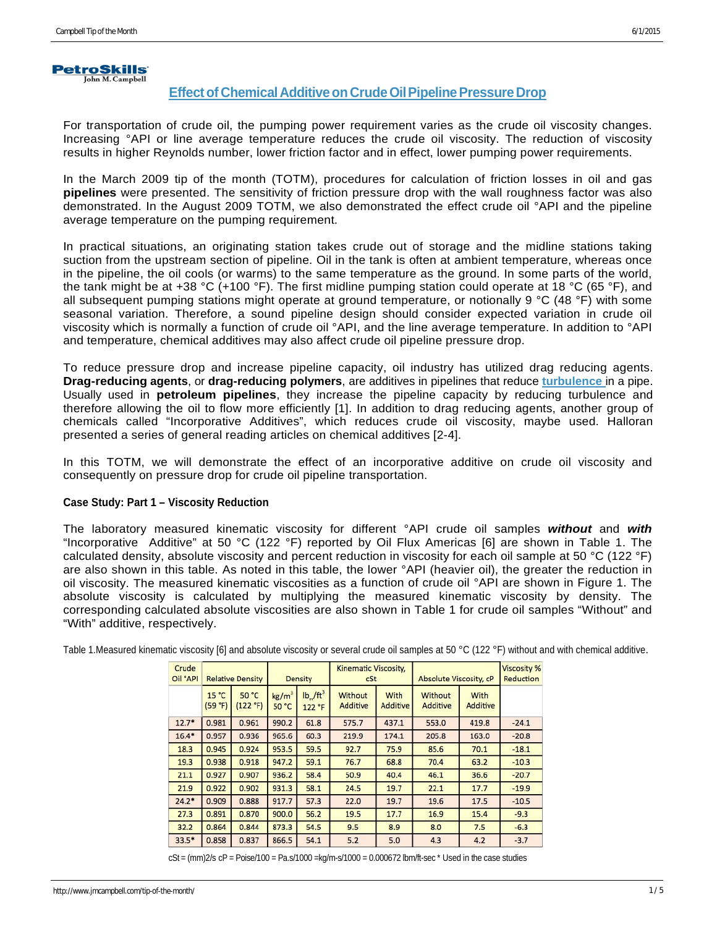

# **Effect of Chemical Additive on Crude Oil Pipeline Pressure Drop**

For transportation of crude oil, the pumping power requirement varies as the crude oil viscosity changes. Increasing °API or line average temperature reduces the crude oil viscosity. The reduction of viscosity results in higher Reynolds number, lower friction factor and in effect, lower pumping power requirements.

In the March 2009 tip of the month (TOTM), procedures for calculation of friction losses in oil and gas **pipelines** were presented. The sensitivity of friction pressure drop with the wall roughness factor was also demonstrated. In the August 2009 TOTM, we also demonstrated the effect crude oil °API and the pipeline average temperature on the pumping requirement.

In practical situations, an originating station takes crude out of storage and the midline stations taking suction from the upstream section of pipeline. Oil in the tank is often at ambient temperature, whereas once in the pipeline, the oil cools (or warms) to the same temperature as the ground. In some parts of the world, the tank might be at +38 °C (+100 °F). The first midline pumping station could operate at 18 °C (65 °F), and all subsequent pumping stations might operate at ground temperature, or notionally 9 °C (48 °F) with some seasonal variation. Therefore, a sound pipeline design should consider expected variation in crude oil viscosity which is normally a function of crude oil °API, and the line average temperature. In addition to °API and temperature, chemical additives may also affect crude oil pipeline pressure drop.

To reduce pressure drop and increase pipeline capacity, oil industry has utilized drag reducing agents. **Drag-reducing agents**, or **drag-reducing polymers**, are additives in pipelines that reduce **[turbulence](http://en.wikipedia.org/wiki/Turbulence)** in a pipe. Usually used in **petroleum [pipelines](http://en.wikipedia.org/wiki/Pipeline_transport)**, they increase the pipeline capacity by reducing turbulence and therefore allowing the oil to flow more efficiently [1]. In addition to drag reducing agents, another group of chemicals called "Incorporative Additives", which reduces crude oil viscosity, maybe used. Halloran presented a series of general reading articles on chemical additives [2-4].

In this TOTM, we will demonstrate the effect of an incorporative additive on crude oil viscosity and consequently on pressure drop for crude oil pipeline transportation.

# **Case Study: Part 1 – Viscosity Reduction**

The laboratory measured kinematic viscosity for different °API crude oil samples *without* and *with*  "Incorporative Additive" at 50 °C (122 °F) reported by Oil Flux Americas [6] are shown in Table 1. The calculated density, absolute viscosity and percent reduction in viscosity for each oil sample at 50 °C (122 °F) are also shown in this table. As noted in this table, the lower °API (heavier oil), the greater the reduction in oil viscosity. The measured kinematic viscosities as a function of crude oil °API are shown in Figure 1. The absolute viscosity is calculated by multiplying the measured kinematic viscosity by density. The corresponding calculated absolute viscosities are also shown in Table 1 for crude oil samples "Without" and "With" additive, respectively.

| Crude<br>Oil °API | <b>Relative Density</b> |                   | <b>Density</b>             |                                         | Kinematic Viscosity,<br>cSt |                         | <b>Absolute Viscosity, cP</b> | <b>Viscosity %</b><br>Reduction |         |
|-------------------|-------------------------|-------------------|----------------------------|-----------------------------------------|-----------------------------|-------------------------|-------------------------------|---------------------------------|---------|
|                   | 15 °C<br>(59 °F)        | 50 °C<br>(122 °F) | kg/m <sup>3</sup><br>50 °C | $\mathsf{lb}_m/\mathsf{ft}^3$<br>122 °F | <b>Without</b><br>Additive  | With<br><b>Additive</b> | Without<br>Additive           | With<br>Additive                |         |
| $12.7*$           | 0.981                   | 0.961             | 990.2                      | 61.8                                    | 575.7                       | 437.1                   | 553.0                         | 419.8                           | $-24.1$ |
| $16.4*$           | 0.957                   | 0.936             | 965.6                      | 60.3                                    | 219.9                       | 174.1                   | 205.8                         | 163.0                           | $-20.8$ |
| 18.3              | 0.945                   | 0.924             | 953.5                      | 59.5                                    | 92.7                        | 75.9                    | 85.6                          | 70.1                            | $-18.1$ |
| 19.3              | 0.938                   | 0.918             | 947.2                      | 59.1                                    | 76.7                        | 68.8                    | 70.4                          | 63.2                            | $-10.3$ |
| 21.1              | 0.927                   | 0.907             | 936.2                      | 58.4                                    | 50.9                        | 40.4                    | 46.1                          | 36.6                            | $-20.7$ |
| 21.9              | 0.922                   | 0.902             | 931.3                      | 58.1                                    | 24.5                        | 19.7                    | 22.1                          | 17.7                            | $-19.9$ |
| $24.2*$           | 0.909                   | 0.888             | 917.7                      | 57.3                                    | 22.0                        | 19.7                    | 19.6                          | 17.5                            | $-10.5$ |
| 27.3              | 0.891                   | 0.870             | 900.0                      | 56.2                                    | 19.5                        | 17.7                    | 16.9                          | 15.4                            | $-9.3$  |
| 32.2              | 0.864                   | 0.844             | 873.3                      | 54.5                                    | 9.5                         | 8.9                     | 8.0                           | 7.5                             | $-6.3$  |
| $33.5*$           | 0.858                   | 0.837             | 866.5                      | 54.1                                    | 5.2                         | 5.0                     | 4.3                           | 4.2                             | $-3.7$  |

Table 1.Measured kinematic viscosity [6] and absolute viscosity or several crude oil samples at 50 °C (122 °F) without and with chemical additive.

 $cSt = (mm)2/s$   $CP = Poise/100 = Pa.s/1000 = kq/m·s/1000 = 0.000672$  lbm/ft-sec  $*$  Used in the case studies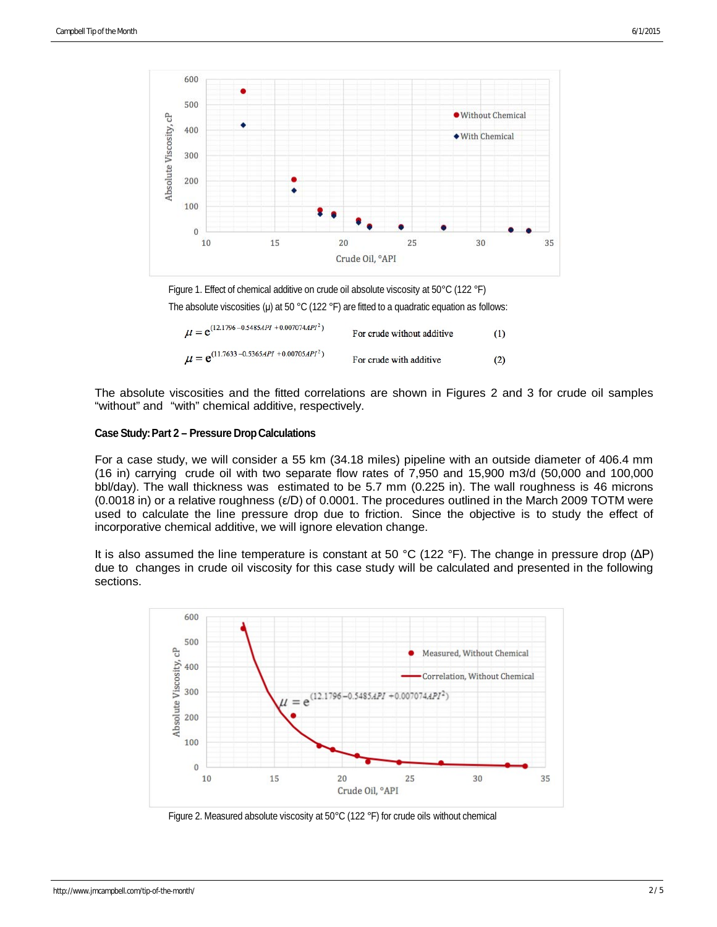

Figure 1. Effect of chemical additive on crude oil absolute viscosity at 50°C (122 °F)

The absolute viscosities (μ) at 50 °C (122 °F) are fitted to a quadratic equation as follows:

| $\mu = e^{(12.1796 - 0.5485API + 0.007074API^*)}$ | For crude without additive | (1) |
|---------------------------------------------------|----------------------------|-----|
| $\mu = e^{(11.7633 - 0.5365API + 0.00705API^2)}$  | For crude with additive    | (2) |

The absolute viscosities and the fitted correlations are shown in Figures 2 and 3 for crude oil samples "without" and "with" chemical additive, respectively.

### **Case Study:Part 2 – Pressure DropCalculations**

For a case study, we will consider a 55 km (34.18 miles) pipeline with an outside diameter of 406.4 mm (16 in) carrying crude oil with two separate flow rates of 7,950 and 15,900 m3/d (50,000 and 100,000 bbl/day). The wall thickness was estimated to be 5.7 mm (0.225 in). The wall roughness is 46 microns (0.0018 in) or a relative roughness (ε/D) of 0.0001. The procedures outlined in the March 2009 TOTM were used to calculate the line pressure drop due to friction. Since the objective is to study the effect of incorporative chemical additive, we will ignore elevation change.

It is also assumed the line temperature is constant at 50 °C (122 °F). The change in pressure drop (ΔP) due to changes in crude oil viscosity for this case study will be calculated and presented in the following sections.



Figure 2. Measured absolute viscosity at 50°C (122 °F) for crude oils without chemical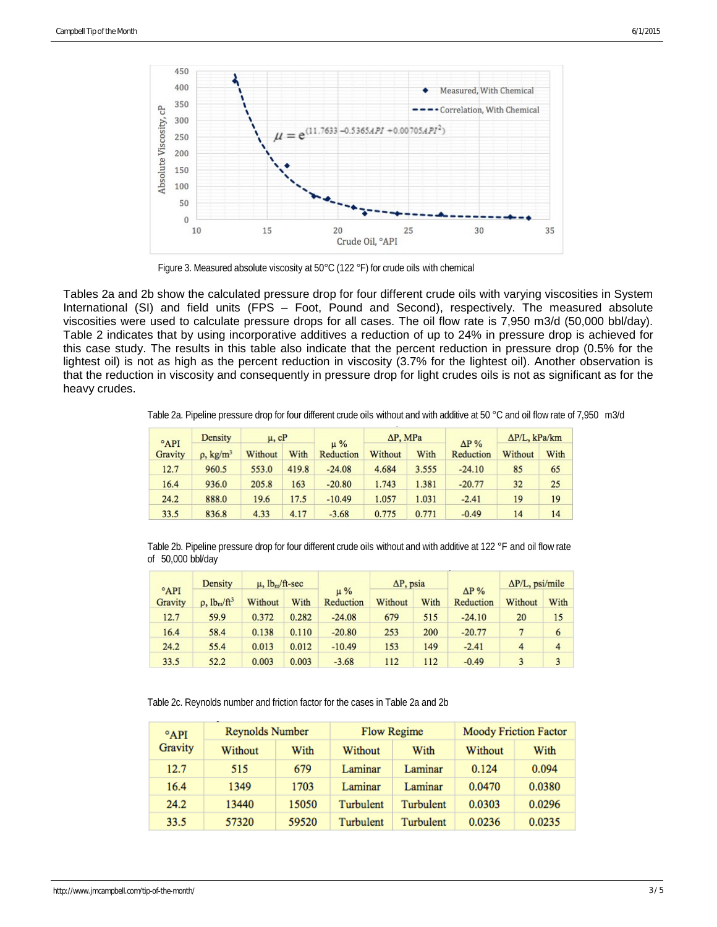

Figure 3. Measured absolute viscosity at 50°C (122 °F) for crude oils with chemical

Tables 2a and 2b show the calculated pressure drop for four different crude oils with varying viscosities in System International (SI) and field units (FPS – Foot, Pound and Second), respectively. The measured absolute viscosities were used to calculate pressure drops for all cases. The oil flow rate is 7,950 m3/d (50,000 bbl/day). Table 2 indicates that by using incorporative additives a reduction of up to 24% in pressure drop is achieved for this case study. The results in this table also indicate that the percent reduction in pressure drop (0.5% for the lightest oil) is not as high as the percent reduction in viscosity (3.7% for the lightest oil). Another observation is that the reduction in viscosity and consequently in pressure drop for light crudes oils is not as significant as for the heavy crudes.

Table 2a. Pipeline pressure drop for four different crude oils without and with additive at 50 °C and oil flow rate of 7,950 m3/d

| $^{\circ}$ API<br>Gravity | Density                    | $\mu$ , $cP$ |       | $\mu\%$   | $\Delta P$ , MPa |       | $\Delta P\%$ | $\Delta P/L$ , kPa/km |      |
|---------------------------|----------------------------|--------------|-------|-----------|------------------|-------|--------------|-----------------------|------|
|                           | $\rho$ , kg/m <sup>3</sup> | Without      | With  | Reduction | Without          | With  | Reduction    | Without               | With |
| 12.7                      | 960.5                      | 553.0        | 419.8 | $-24.08$  | 4.684            | 3.555 | $-24.10$     | 85                    | 65   |
| 16.4                      | 936.0                      | 205.8        | 163   | $-20.80$  | 1.743            | 1.381 | $-20.77$     | 32                    | 25   |
| 24.2                      | 888.0                      | 19.6         | 17.5  | $-10.49$  | 1.057            | 1.031 | $-2.41$      | 19                    | 19   |
| 33.5                      | 836.8                      | 4.33         | 4.17  | $-3.68$   | 0.775            | 0.771 | $-0.49$      | 14                    | 14   |

Table 2b. Pipeline pressure drop for four different crude oils without and with additive at 122 °F and oil flow rate of 50,000 bbl/day

| $^{\circ}$ API<br>Gravity | Density              | $\mu$ , $lb_m/ft$ -sec |       |                      | $\Delta P$ , psia |      |                           | $\Delta P/L$ , psi/mile |                |
|---------------------------|----------------------|------------------------|-------|----------------------|-------------------|------|---------------------------|-------------------------|----------------|
|                           | $\rho$ , $lb_m/ft^3$ | Without                | With  | $\mu\%$<br>Reduction | Without           | With | $\Delta P\%$<br>Reduction | Without                 | With           |
| 12.7                      | 59.9                 | 0.372                  | 0.282 | $-24.08$             | 679               | 515  | $-24.10$                  | 20                      | 15             |
| 16.4                      | 58.4                 | 0.138                  | 0.110 | $-20.80$             | 253               | 200  | $-20.77$                  |                         | 6              |
| 24.2                      | 55.4                 | 0.013                  | 0.012 | $-10.49$             | 153               | 149  | $-2.41$                   | 4                       | $\overline{4}$ |
| 33.5                      | 52.2                 | 0.003                  | 0.003 | $-3.68$              | 112               | 112  | $-0.49$                   | 3                       | 3              |

Table 2c. Reynolds number and friction factor for the cases in Table 2a and 2b

| $^{\circ}$ API<br>Gravity | <b>Reynolds Number</b> |       |           | <b>Flow Regime</b> | <b>Moody Friction Factor</b> |        |  |
|---------------------------|------------------------|-------|-----------|--------------------|------------------------------|--------|--|
|                           | Without                | With  | Without   | With               | Without                      | With   |  |
| 12.7                      | 515                    | 679   | Laminar   | Laminar            | 0.124                        | 0.094  |  |
| 16.4                      | 1349                   | 1703  | Laminar   | Laminar            | 0.0470                       | 0.0380 |  |
| 24.2                      | 13440                  | 15050 | Turbulent | Turbulent          | 0.0303                       | 0.0296 |  |
| 33.5                      | 57320                  | 59520 | Turbulent | Turbulent          | 0.0236                       | 0.0235 |  |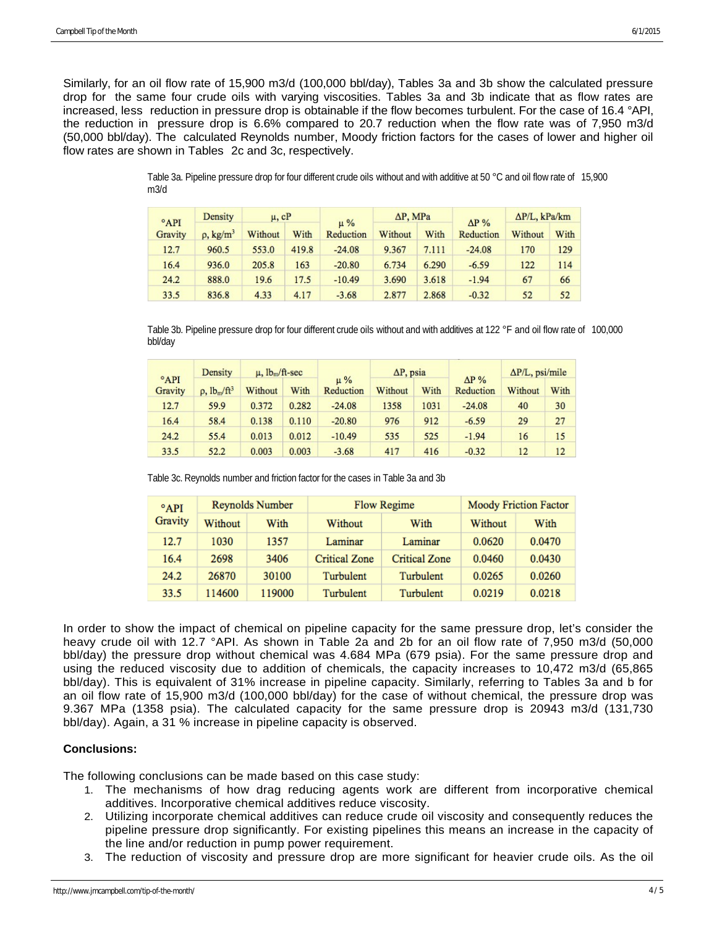Similarly, for an oil flow rate of 15,900 m3/d (100,000 bbl/day), Tables 3a and 3b show the calculated pressure drop for the same four crude oils with varying viscosities. Tables 3a and 3b indicate that as flow rates are increased, less reduction in pressure drop is obtainable if the flow becomes turbulent. For the case of 16.4 °API, the reduction in pressure drop is 6.6% compared to 20.7 reduction when the flow rate was of 7,950 m3/d (50,000 bbl/day). The calculated Reynolds number, Moody friction factors for the cases of lower and higher oil flow rates are shown in Tables 2c and 3c, respectively.

> Table 3a. Pipeline pressure drop for four different crude oils without and with additive at 50 °C and oil flow rate of 15,900 m3/d

| $^{\circ}$ API | Density                 | $\mu$ , $cP$ |       | $\mu\%$   | $\Delta P$ , MPa |       | $AP\%$    | $\Delta$ P/L, kPa/km |      |
|----------------|-------------------------|--------------|-------|-----------|------------------|-------|-----------|----------------------|------|
| Gravity        | $p$ , kg/m <sup>3</sup> | Without      | With  | Reduction | Without          | With  | Reduction | Without              | With |
| 12.7           | 960.5                   | 553.0        | 419.8 | $-24.08$  | 9.367            | 7.111 | $-24.08$  | 170                  | 129  |
| 16.4           | 936.0                   | 205.8        | 163   | $-20.80$  | 6.734            | 6.290 | $-6.59$   | 122                  | 114  |
| 24.2           | 888.0                   | 19.6         | 17.5  | $-10.49$  | 3.690            | 3.618 | $-1.94$   | 67                   | 66   |
| 33.5           | 836.8                   | 4.33         | 4.17  | $-3.68$   | 2.877            | 2.868 | $-0.32$   | 52                   | 52   |

Table 3b. Pipeline pressure drop for four different crude oils without and with additives at 122 °F and oil flow rate of 100,000 bbl/day

| $^{\circ}$ API<br>Gravity | Density              | $\mu$ , $lb_m/ft$ -sec |       |                      | $\Delta P$ , psia |      |                           | $\Delta P/L$ , psi/mile |      |
|---------------------------|----------------------|------------------------|-------|----------------------|-------------------|------|---------------------------|-------------------------|------|
|                           | $\rho$ , $lb_m/ft^3$ | Without                | With  | $\mu\%$<br>Reduction | Without           | With | $\Delta P\%$<br>Reduction | Without                 | With |
| 12.7                      | 59.9                 | 0.372                  | 0.282 | $-24.08$             | 1358              | 1031 | $-24.08$                  | 40                      | 30   |
| 16.4                      | 58.4                 | 0.138                  | 0.110 | $-20.80$             | 976               | 912  | $-6.59$                   | 29                      | 27   |
| 24.2                      | 55.4                 | 0.013                  | 0.012 | $-10.49$             | 535               | 525  | $-1.94$                   | 16                      | 15   |
| 33.5                      | 52.2                 | 0.003                  | 0.003 | $-3.68$              | 417               | 416  | $-0.32$                   | 12                      | 12   |

Table 3c. Reynolds number and friction factor for the cases in Table 3a and 3b

| $^{\circ}$ API<br>Gravity |         | <b>Reynolds Number</b> |                      | Flow Regime          | Moody Friction Factor |        |  |
|---------------------------|---------|------------------------|----------------------|----------------------|-----------------------|--------|--|
|                           | Without | With                   | Without              | With                 | Without               | With   |  |
| 12.7                      | 1030    | 1357                   | Laminar              | Laminar              | 0.0620                | 0.0470 |  |
| 16.4                      | 2698    | 3406                   | <b>Critical Zone</b> | <b>Critical Zone</b> | 0.0460                | 0.0430 |  |
| 24.2                      | 26870   | 30100                  | Turbulent            | Turbulent            | 0.0265                | 0.0260 |  |
| 33.5                      | 114600  | 119000                 | Turbulent            | Turbulent            | 0.0219                | 0.0218 |  |

In order to show the impact of chemical on pipeline capacity for the same pressure drop, let's consider the heavy crude oil with 12.7 °API. As shown in Table 2a and 2b for an oil flow rate of 7,950 m3/d (50,000 bbl/day) the pressure drop without chemical was 4.684 MPa (679 psia). For the same pressure drop and using the reduced viscosity due to addition of chemicals, the capacity increases to 10,472 m3/d (65,865 bbl/day). This is equivalent of 31% increase in pipeline capacity. Similarly, referring to Tables 3a and b for an oil flow rate of 15,900 m3/d (100,000 bbl/day) for the case of without chemical, the pressure drop was 9.367 MPa (1358 psia). The calculated capacity for the same pressure drop is 20943 m3/d (131,730 bbl/day). Again, a 31 % increase in pipeline capacity is observed.

# **Conclusions:**

The following conclusions can be made based on this case study:

- 1. The mechanisms of how drag reducing agents work are different from incorporative chemical additives. Incorporative chemical additives reduce viscosity.
- 2. Utilizing incorporate chemical additives can reduce crude oil viscosity and consequently reduces the pipeline pressure drop significantly. For existing pipelines this means an increase in the capacity of the line and/or reduction in pump power requirement.
- 3. The reduction of viscosity and pressure drop are more significant for heavier crude oils. As the oil